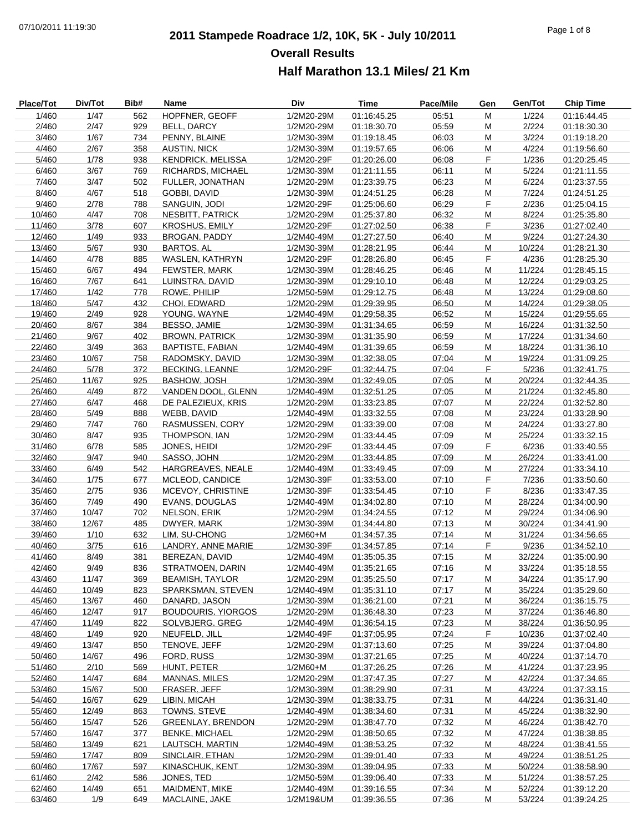# **2011 Stampede Roadrace 1/2, 10K, 5K - July 10/2011** 07/10/2011 11:19:30 Page 1 of 8 **Overall Results Half Marathon 13.1 Miles/ 21 Km**

| Place/Tot | Div/Tot | Bib# | Name                         | Div        | <b>Time</b>                | Pace/Mile | Gen       | Gen/Tot | <b>Chip Time</b> |
|-----------|---------|------|------------------------------|------------|----------------------------|-----------|-----------|---------|------------------|
| 1/460     | 1/47    | 562  | HOPFNER, GEOFF               | 1/2M20-29M | 01:16:45.25                | 05:51     | ${\sf M}$ | 1/224   | 01:16:44.45      |
| 2/460     | 2/47    | 929  | BELL, DARCY                  | 1/2M20-29M | 01:18:30.70                | 05:59     | M         | 2/224   | 01:18:30.30      |
| 3/460     | 1/67    | 734  | PENNY, BLAINE                | 1/2M30-39M | 01:19:18.45                | 06:03     | M         | 3/224   | 01:19:18.20      |
| 4/460     | 2/67    | 358  | <b>AUSTIN, NICK</b>          | 1/2M30-39M | 01:19:57.65                | 06:06     | M         | 4/224   | 01:19:56.60      |
| 5/460     | 1/78    | 938  | <b>KENDRICK, MELISSA</b>     | 1/2M20-29F | 01:20:26.00                | 06:08     | F         | 1/236   | 01:20:25.45      |
| 6/460     | 3/67    | 769  | RICHARDS, MICHAEL            | 1/2M30-39M | 01:21:11.55                | 06:11     | M         | 5/224   | 01:21:11.55      |
| 7/460     | 3/47    | 502  | FULLER, JONATHAN             | 1/2M20-29M | 01:23:39.75                | 06:23     | M         | 6/224   | 01:23:37.55      |
| 8/460     | 4/67    | 518  | GOBBI, DAVID                 | 1/2M30-39M | 01:24:51.25                | 06:28     | M         | 7/224   | 01:24:51.25      |
| 9/460     | 2/78    | 788  | SANGUIN, JODI                | 1/2M20-29F | 01:25:06.60                | 06:29     | F         | 2/236   | 01:25:04.15      |
| 10/460    | 4/47    | 708  | <b>NESBITT, PATRICK</b>      | 1/2M20-29M | 01:25:37.80                | 06:32     | M         | 8/224   | 01:25:35.80      |
| 11/460    | 3/78    | 607  | <b>KROSHUS, EMILY</b>        | 1/2M20-29F | 01:27:02.50                | 06:38     | F         | 3/236   | 01:27:02.40      |
| 12/460    | 1/49    | 933  | <b>BROGAN, PADDY</b>         | 1/2M40-49M | 01:27:27.50                | 06:40     | М         | 9/224   | 01:27:24.30      |
| 13/460    | 5/67    | 930  | <b>BARTOS, AL</b>            | 1/2M30-39M | 01:28:21.95                | 06:44     | M         | 10/224  | 01:28:21.30      |
| 14/460    | 4/78    | 885  | WASLEN, KATHRYN              | 1/2M20-29F | 01:28:26.80                | 06:45     | F         | 4/236   | 01:28:25.30      |
| 15/460    | 6/67    | 494  | FEWSTER, MARK                | 1/2M30-39M | 01:28:46.25                | 06:46     | М         | 11/224  | 01:28:45.15      |
| 16/460    | 7/67    | 641  | LUINSTRA, DAVID              | 1/2M30-39M | 01:29:10.10                | 06:48     | М         | 12/224  | 01:29:03.25      |
| 17/460    | 1/42    | 778  | ROWE, PHILIP                 | 1/2M50-59M | 01:29:12.75                | 06:48     | M         | 13/224  | 01:29:08.60      |
| 18/460    | 5/47    | 432  | CHOI, EDWARD                 | 1/2M20-29M | 01:29:39.95                | 06:50     | M         | 14/224  | 01:29:38.05      |
|           | 2/49    | 928  |                              |            |                            |           |           |         | 01:29:55.65      |
| 19/460    |         |      | YOUNG, WAYNE<br>BESSO, JAMIE | 1/2M40-49M | 01:29:58.35<br>01:31:34.65 | 06:52     | М         | 15/224  |                  |
| 20/460    | 8/67    | 384  |                              | 1/2M30-39M |                            | 06:59     | М         | 16/224  | 01:31:32.50      |
| 21/460    | 9/67    | 402  | <b>BROWN, PATRICK</b>        | 1/2M30-39M | 01:31:35.90                | 06:59     | M         | 17/224  | 01:31:34.60      |
| 22/460    | 3/49    | 363  | <b>BAPTISTE, FABIAN</b>      | 1/2M40-49M | 01:31:39.65                | 06:59     | M         | 18/224  | 01:31:36.10      |
| 23/460    | 10/67   | 758  | RADOMSKY, DAVID              | 1/2M30-39M | 01:32:38.05                | 07:04     | М         | 19/224  | 01:31:09.25      |
| 24/460    | 5/78    | 372  | <b>BECKING, LEANNE</b>       | 1/2M20-29F | 01:32:44.75                | 07:04     | F         | 5/236   | 01:32:41.75      |
| 25/460    | 11/67   | 925  | <b>BASHOW, JOSH</b>          | 1/2M30-39M | 01:32:49.05                | 07:05     | M         | 20/224  | 01:32:44.35      |
| 26/460    | 4/49    | 872  | VANDEN DOOL, GLENN           | 1/2M40-49M | 01:32:51.25                | 07:05     | M         | 21/224  | 01:32:45.80      |
| 27/460    | 6/47    | 468  | DE PALEZIEUX, KRIS           | 1/2M20-29M | 01:33:23.85                | 07:07     | М         | 22/224  | 01:32:52.80      |
| 28/460    | 5/49    | 888  | WEBB, DAVID                  | 1/2M40-49M | 01:33:32.55                | 07:08     | М         | 23/224  | 01:33:28.90      |
| 29/460    | 7/47    | 760  | RASMUSSEN, CORY              | 1/2M20-29M | 01:33:39.00                | 07:08     | M         | 24/224  | 01:33:27.80      |
| 30/460    | 8/47    | 935  | THOMPSON, IAN                | 1/2M20-29M | 01:33:44.45                | 07:09     | M         | 25/224  | 01:33:32.15      |
| 31/460    | 6/78    | 585  | JONES, HEIDI                 | 1/2M20-29F | 01:33:44.45                | 07:09     | F         | 6/236   | 01:33:40.55      |
| 32/460    | 9/47    | 940  | SASSO, JOHN                  | 1/2M20-29M | 01:33:44.85                | 07:09     | М         | 26/224  | 01:33:41.00      |
| 33/460    | 6/49    | 542  | HARGREAVES, NEALE            | 1/2M40-49M | 01:33:49.45                | 07:09     | M         | 27/224  | 01:33:34.10      |
| 34/460    | 1/75    | 677  | MCLEOD, CANDICE              | 1/2M30-39F | 01:33:53.00                | 07:10     | F         | 7/236   | 01:33:50.60      |
| 35/460    | 2/75    | 936  | MCEVOY, CHRISTINE            | 1/2M30-39F | 01:33:54.45                | 07:10     | F         | 8/236   | 01:33:47.35      |
| 36/460    | 7/49    | 490  | <b>EVANS, DOUGLAS</b>        | 1/2M40-49M | 01:34:02.80                | 07:10     | M         | 28/224  | 01:34:00.90      |
| 37/460    | 10/47   | 702  | <b>NELSON, ERIK</b>          | 1/2M20-29M | 01:34:24.55                | 07:12     | M         | 29/224  | 01:34:06.90      |
| 38/460    | 12/67   | 485  | DWYER, MARK                  | 1/2M30-39M | 01:34:44.80                | 07:13     | M         | 30/224  | 01:34:41.90      |
| 39/460    | 1/10    | 632  | LIM, SU-CHONG                | 1/2M60+M   | 01:34:57.35                | 07:14     | M         | 31/224  | 01:34:56.65      |
| 40/460    | 3/75    | 616  | LANDRY, ANNE MARIE           | 1/2M30-39F | 01:34:57.85                | 07:14     | F         | 9/236   | 01:34:52.10      |
| 41/460    | 8/49    | 381  | BEREZAN, DAVID               | 1/2M40-49M | 01:35:05.35                | 07:15     | M         | 32/224  | 01:35:00.90      |
| 42/460    | 9/49    | 836  | STRATMOEN, DARIN             | 1/2M40-49M | 01:35:21.65                | 07:16     | M         | 33/224  | 01:35:18.55      |
| 43/460    | 11/47   | 369  | <b>BEAMISH, TAYLOR</b>       | 1/2M20-29M | 01:35:25.50                | 07:17     | M         | 34/224  | 01:35:17.90      |
| 44/460    | 10/49   | 823  | SPARKSMAN, STEVEN            | 1/2M40-49M | 01:35:31.10                | 07:17     | M         | 35/224  | 01:35:29.60      |
| 45/460    | 13/67   | 460  | DANARD, JASON                | 1/2M30-39M | 01:36:21.00                | 07:21     | M         | 36/224  | 01:36:15.75      |
| 46/460    | 12/47   | 917  | <b>BOUDOURIS, YIORGOS</b>    | 1/2M20-29M | 01:36:48.30                | 07:23     | M         | 37/224  | 01:36:46.80      |
| 47/460    | 11/49   | 822  | SOLVBJERG, GREG              | 1/2M40-49M | 01:36:54.15                | 07:23     | M         | 38/224  | 01:36:50.95      |
| 48/460    | 1/49    | 920  | NEUFELD, JILL                | 1/2M40-49F | 01:37:05.95                | 07:24     | F.        | 10/236  | 01:37:02.40      |
| 49/460    | 13/47   | 850  | TENOVE, JEFF                 | 1/2M20-29M | 01:37:13.60                | 07:25     | M         | 39/224  | 01:37:04.80      |
| 50/460    | 14/67   | 496  | FORD, RUSS                   | 1/2M30-39M | 01:37:21.65                | 07:25     | M         | 40/224  | 01:37:14.70      |
| 51/460    | 2/10    | 569  | HUNT, PETER                  | 1/2M60+M   | 01:37:26.25                | 07:26     | м         | 41/224  | 01:37:23.95      |
| 52/460    | 14/47   | 684  | <b>MANNAS, MILES</b>         | 1/2M20-29M | 01:37:47.35                | 07:27     | M         | 42/224  | 01:37:34.65      |
| 53/460    | 15/67   | 500  | FRASER, JEFF                 | 1/2M30-39M | 01:38:29.90                | 07:31     | M         | 43/224  | 01:37:33.15      |
| 54/460    | 16/67   | 629  | LIBIN, MICAH                 | 1/2M30-39M | 01:38:33.75                | 07:31     | M         | 44/224  | 01:36:31.40      |
| 55/460    | 12/49   | 863  | TOWNS, STEVE                 | 1/2M40-49M | 01:38:34.60                | 07:31     | м         | 45/224  | 01:38:32.90      |
| 56/460    | 15/47   | 526  | <b>GREENLAY, BRENDON</b>     | 1/2M20-29M | 01:38:47.70                | 07:32     | M         | 46/224  | 01:38:42.70      |
| 57/460    | 16/47   | 377  | <b>BENKE, MICHAEL</b>        | 1/2M20-29M | 01:38:50.65                | 07:32     | М         | 47/224  | 01:38:38.85      |
| 58/460    | 13/49   | 621  | LAUTSCH, MARTIN              | 1/2M40-49M | 01:38:53.25                | 07:32     | M         | 48/224  | 01:38:41.55      |
| 59/460    | 17/47   | 809  | SINCLAIR, ETHAN              | 1/2M20-29M | 01:39:01.40                | 07:33     | M         | 49/224  | 01:38:51.25      |
| 60/460    | 17/67   | 597  | KINASCHUK, KENT              | 1/2M30-39M | 01:39:04.95                | 07:33     | M         | 50/224  | 01:38:58.90      |
| 61/460    | 2/42    | 586  | JONES, TED                   | 1/2M50-59M | 01:39:06.40                | 07:33     | M         | 51/224  | 01:38:57.25      |
| 62/460    | 14/49   | 651  | MAIDMENT, MIKE               | 1/2M40-49M | 01:39:16.55                | 07:34     | M         | 52/224  | 01:39:12.20      |
| 63/460    | 1/9     | 649  | MACLAINE, JAKE               | 1/2M19&UM  | 01:39:36.55                | 07:36     | м         | 53/224  | 01:39:24.25      |
|           |         |      |                              |            |                            |           |           |         |                  |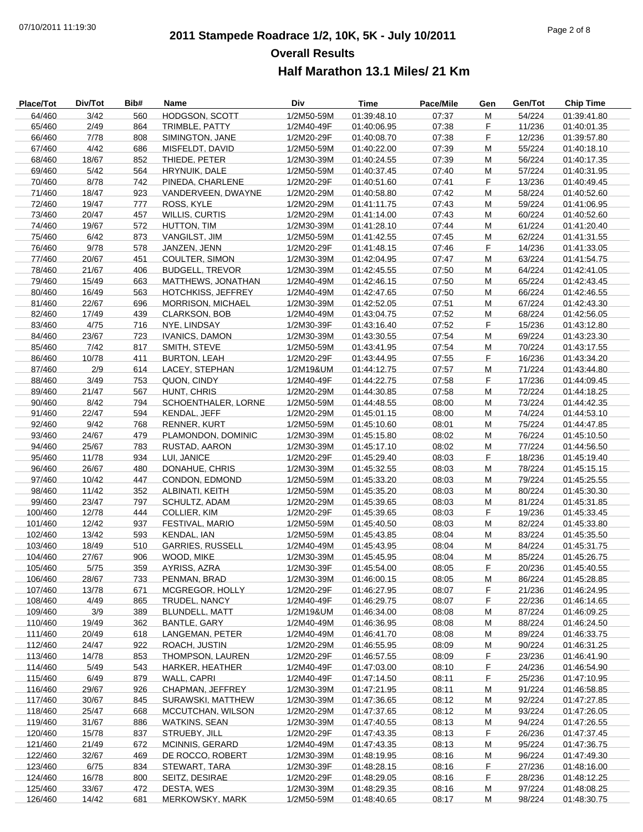# **2011 Stampede Roadrace 1/2, 10K, 5K - July 10/2011** 07/10/2011 11:19:30 Page 2 of 8 **Overall Results Half Marathon 13.1 Miles/ 21 Km**

| <b>Place/Tot</b> | Div/Tot | Bib# | Name                      | Div        | <b>Time</b> | Pace/Mile | Gen | Gen/Tot | <b>Chip Time</b> |
|------------------|---------|------|---------------------------|------------|-------------|-----------|-----|---------|------------------|
| 64/460           | 3/42    | 560  | HODGSON, SCOTT            | 1/2M50-59M | 01:39:48.10 | 07:37     | M   | 54/224  | 01:39:41.80      |
| 65/460           | 2/49    | 864  | TRIMBLE, PATTY            | 1/2M40-49F | 01:40:06.95 | 07:38     | F   | 11/236  | 01:40:01.35      |
| 66/460           | 7/78    | 808  | SIMINGTON, JANE           | 1/2M20-29F | 01:40:08.70 | 07:38     | F   | 12/236  | 01:39:57.80      |
| 67/460           | 4/42    | 686  | MISFELDT, DAVID           | 1/2M50-59M | 01:40:22.00 | 07:39     | М   | 55/224  | 01:40:18.10      |
| 68/460           | 18/67   | 852  | THIEDE, PETER             | 1/2M30-39M | 01:40:24.55 | 07:39     | M   | 56/224  | 01:40:17.35      |
| 69/460           | 5/42    | 564  | HRYNUIK, DALE             | 1/2M50-59M | 01:40:37.45 | 07:40     | M   | 57/224  | 01:40:31.95      |
| 70/460           | 8/78    | 742  | PINEDA, CHARLENE          | 1/2M20-29F | 01:40:51.60 | 07:41     | F   | 13/236  | 01:40:49.45      |
| 71/460           | 18/47   | 923  | VANDERVEEN, DWAYNE        | 1/2M20-29M | 01:40:58.80 | 07:42     | М   | 58/224  | 01:40:52.60      |
| 72/460           | 19/47   | 777  | ROSS, KYLE                | 1/2M20-29M | 01:41:11.75 | 07:43     | M   | 59/224  | 01:41:06.95      |
| 73/460           | 20/47   | 457  | <b>WILLIS, CURTIS</b>     | 1/2M20-29M | 01:41:14.00 | 07:43     | M   | 60/224  | 01:40:52.60      |
| 74/460           | 19/67   | 572  | HUTTON, TIM               | 1/2M30-39M | 01:41:28.10 | 07:44     | М   | 61/224  | 01:41:20.40      |
| 75/460           | 6/42    | 873  | VANGILST, JIM             | 1/2M50-59M |             | 07:45     | M   | 62/224  |                  |
|                  |         |      |                           |            | 01:41:42.55 |           |     |         | 01:41:31.55      |
| 76/460           | 9/78    | 578  | JANZEN, JENN              | 1/2M20-29F | 01:41:48.15 | 07:46     | F   | 14/236  | 01:41:33.05      |
| 77/460           | 20/67   | 451  | <b>COULTER, SIMON</b>     | 1/2M30-39M | 01:42:04.95 | 07:47     | M   | 63/224  | 01:41:54.75      |
| 78/460           | 21/67   | 406  | <b>BUDGELL, TREVOR</b>    | 1/2M30-39M | 01:42:45.55 | 07:50     | М   | 64/224  | 01:42:41.05      |
| 79/460           | 15/49   | 663  | MATTHEWS, JONATHAN        | 1/2M40-49M | 01:42:46.15 | 07:50     | М   | 65/224  | 01:42:43.45      |
| 80/460           | 16/49   | 563  | <b>HOTCHKISS, JEFFREY</b> | 1/2M40-49M | 01:42:47.65 | 07:50     | M   | 66/224  | 01:42:46.55      |
| 81/460           | 22/67   | 696  | <b>MORRISON, MICHAEL</b>  | 1/2M30-39M | 01:42:52.05 | 07:51     | M   | 67/224  | 01:42:43.30      |
| 82/460           | 17/49   | 439  | <b>CLARKSON, BOB</b>      | 1/2M40-49M | 01:43:04.75 | 07:52     | M   | 68/224  | 01:42:56.05      |
| 83/460           | 4/75    | 716  | NYE, LINDSAY              | 1/2M30-39F | 01:43:16.40 | 07:52     | F   | 15/236  | 01:43:12.80      |
| 84/460           | 23/67   | 723  | <b>IVANICS, DAMON</b>     | 1/2M30-39M | 01:43:30.55 | 07:54     | M   | 69/224  | 01:43:23.30      |
| 85/460           | 7/42    | 817  | SMITH, STEVE              | 1/2M50-59M | 01:43:41.95 | 07:54     | M   | 70/224  | 01:43:17.55      |
| 86/460           | 10/78   | 411  | <b>BURTON, LEAH</b>       | 1/2M20-29F | 01:43:44.95 | 07:55     | F   | 16/236  | 01:43:34.20      |
| 87/460           | 2/9     | 614  | LACEY, STEPHAN            | 1/2M19&UM  | 01:44:12.75 | 07:57     | М   | 71/224  | 01:43:44.80      |
| 88/460           | 3/49    | 753  | QUON, CINDY               | 1/2M40-49F | 01:44:22.75 | 07:58     | F   | 17/236  | 01:44:09.45      |
| 89/460           | 21/47   | 567  | HUNT, CHRIS               | 1/2M20-29M | 01:44:30.85 | 07:58     | M   | 72/224  | 01:44:18.25      |
| 90/460           | 8/42    | 794  | SCHOENTHALER, LORNE       | 1/2M50-59M | 01:44:48.55 | 08:00     | M   | 73/224  | 01:44:42.35      |
| 91/460           | 22/47   | 594  | KENDAL, JEFF              | 1/2M20-29M | 01:45:01.15 | 08:00     | M   | 74/224  | 01:44:53.10      |
| 92/460           | 9/42    | 768  | <b>RENNER, KURT</b>       | 1/2M50-59M | 01:45:10.60 | 08:01     | M   | 75/224  | 01:44:47.85      |
| 93/460           | 24/67   | 479  | PLAMONDON, DOMINIC        | 1/2M30-39M | 01:45:15.80 | 08:02     | M   | 76/224  | 01:45:10.50      |
| 94/460           | 25/67   | 783  | RUSTAD, AARON             | 1/2M30-39M | 01:45:17.10 | 08:02     | M   | 77/224  | 01:44:56.50      |
| 95/460           | 11/78   | 934  | LUI, JANICE               | 1/2M20-29F | 01:45:29.40 | 08:03     | F   | 18/236  | 01:45:19.40      |
| 96/460           | 26/67   | 480  | DONAHUE, CHRIS            | 1/2M30-39M | 01:45:32.55 | 08:03     | M   | 78/224  | 01:45:15.15      |
| 97/460           | 10/42   | 447  | CONDON, EDMOND            | 1/2M50-59M | 01:45:33.20 | 08:03     | M   | 79/224  | 01:45:25.55      |
| 98/460           | 11/42   | 352  | ALBINATI, KEITH           | 1/2M50-59M | 01:45:35.20 | 08:03     | М   | 80/224  | 01:45:30.30      |
| 99/460           | 23/47   | 797  | SCHULTZ, ADAM             | 1/2M20-29M | 01:45:39.65 | 08:03     | M   | 81/224  |                  |
|                  |         | 444  |                           |            |             |           | F   |         | 01:45:31.85      |
| 100/460          | 12/78   | 937  | COLLIER, KIM              | 1/2M20-29F | 01:45:39.65 | 08:03     |     | 19/236  | 01:45:33.45      |
| 101/460          | 12/42   |      | FESTIVAL, MARIO           | 1/2M50-59M | 01:45:40.50 | 08:03     | M   | 82/224  | 01:45:33.80      |
| 102/460          | 13/42   | 593  | <b>KENDAL, IAN</b>        | 1/2M50-59M | 01:45:43.85 | 08:04     | М   | 83/224  | 01:45:35.50      |
| 103/460          | 18/49   | 510  | <b>GARRIES, RUSSELL</b>   | 1/2M40-49M | 01:45:43.95 | 08:04     | М   | 84/224  | 01:45:31.75      |
| 104/460          | 27/67   | 906  | WOOD, MIKE                | 1/2M30-39M | 01:45:45.95 | 08:04     | M   | 85/224  | 01:45:26.75      |
| 105/460          | 5/75    | 359  | AYRISS, AZRA              | 1/2M30-39F | 01:45:54.00 | 08:05     | F   | 20/236  | 01:45:40.55      |
| 106/460          | 28/67   | 733  | PENMAN, BRAD              | 1/2M30-39M | 01:46:00.15 | 08:05     | M   | 86/224  | 01:45:28.85      |
| 107/460          | 13/78   | 671  | MCGREGOR, HOLLY           | 1/2M20-29F | 01:46:27.95 | 08:07     | F.  | 21/236  | 01:46:24.95      |
| 108/460          | 4/49    | 865  | TRUDEL, NANCY             | 1/2M40-49F | 01:46:29.75 | 08:07     | F   | 22/236  | 01:46:14.65      |
| 109/460          | 3/9     | 389  | <b>BLUNDELL, MATT</b>     | 1/2M19&UM  | 01:46:34.00 | 08:08     | M   | 87/224  | 01:46:09.25      |
| 110/460          | 19/49   | 362  | BANTLE, GARY              | 1/2M40-49M | 01:46:36.95 | 08:08     | M   | 88/224  | 01:46:24.50      |
| 111/460          | 20/49   | 618  | LANGEMAN, PETER           | 1/2M40-49M | 01:46:41.70 | 08:08     | M   | 89/224  | 01:46:33.75      |
| 112/460          | 24/47   | 922  | ROACH, JUSTIN             | 1/2M20-29M | 01:46:55.95 | 08:09     | M   | 90/224  | 01:46:31.25      |
| 113/460          | 14/78   | 853  | THOMPSON, LAUREN          | 1/2M20-29F | 01:46:57.55 | 08:09     | F.  | 23/236  | 01:46:41.90      |
| 114/460          | 5/49    | 543  | HARKER, HEATHER           | 1/2M40-49F | 01:47:03.00 | 08:10     | F.  | 24/236  | 01:46:54.90      |
| 115/460          | 6/49    | 879  | WALL, CAPRI               | 1/2M40-49F | 01:47:14.50 | 08:11     | F.  | 25/236  | 01:47:10.95      |
| 116/460          | 29/67   | 926  | CHAPMAN, JEFFREY          | 1/2M30-39M | 01:47:21.95 | 08:11     | М   | 91/224  | 01:46:58.85      |
| 117/460          | 30/67   | 845  | SURAWSKI, MATTHEW         | 1/2M30-39M | 01:47:36.65 | 08:12     | M   | 92/224  | 01:47:27.85      |
| 118/460          | 25/47   | 668  | MCCUTCHAN, WILSON         | 1/2M20-29M | 01:47:37.65 | 08:12     | M   | 93/224  | 01:47:26.05      |
| 119/460          | 31/67   | 886  | <b>WATKINS, SEAN</b>      | 1/2M30-39M | 01:47:40.55 | 08:13     | M   | 94/224  | 01:47:26.55      |
| 120/460          | 15/78   | 837  | STRUEBY, JILL             | 1/2M20-29F | 01:47:43.35 | 08:13     | F   | 26/236  | 01:47:37.45      |
| 121/460          | 21/49   | 672  | <b>MCINNIS, GERARD</b>    | 1/2M40-49M | 01:47:43.35 | 08:13     | M   | 95/224  | 01:47:36.75      |
| 122/460          | 32/67   | 469  | DE ROCCO, ROBERT          | 1/2M30-39M | 01:48:19.95 | 08:16     | M   | 96/224  | 01:47:49.30      |
| 123/460          | 6/75    | 834  | STEWART, TARA             | 1/2M30-39F | 01:48:28.15 | 08:16     | F.  | 27/236  | 01:48:16.00      |
| 124/460          | 16/78   | 800  | SEITZ, DESIRAE            | 1/2M20-29F | 01:48:29.05 | 08:16     | F   | 28/236  | 01:48:12.25      |
| 125/460          | 33/67   | 472  | DESTA, WES                | 1/2M30-39M | 01:48:29.35 | 08:16     | M   | 97/224  | 01:48:08.25      |
|                  |         |      |                           |            |             |           |     |         |                  |
| 126/460          | 14/42   | 681  | MERKOWSKY, MARK           | 1/2M50-59M | 01:48:40.65 | 08:17     | м   | 98/224  | 01:48:30.75      |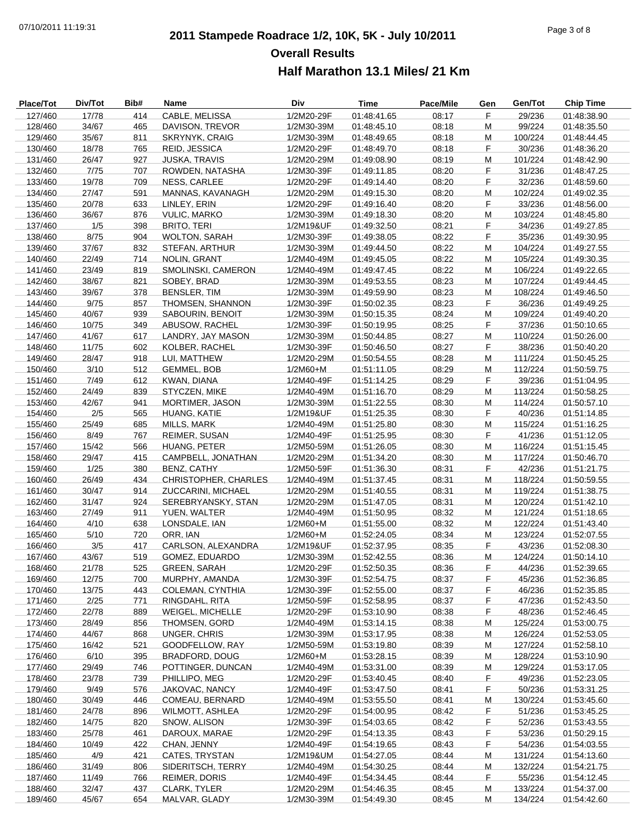# **2011 Stampede Roadrace 1/2, 10K, 5K - July 10/2011** 07/10/2011 11:19:31 Page 3 of 8 **Overall Results Half Marathon 13.1 Miles/ 21 Km**

| Place/Tot | Div/Tot | Bib# | Name                    | Div        | <b>Time</b> | Pace/Mile | Gen | Gen/Tot | <b>Chip Time</b> |
|-----------|---------|------|-------------------------|------------|-------------|-----------|-----|---------|------------------|
| 127/460   | 17/78   | 414  | CABLE, MELISSA          | 1/2M20-29F | 01:48:41.65 | 08:17     | F   | 29/236  | 01:48:38.90      |
| 128/460   | 34/67   | 465  | DAVISON, TREVOR         | 1/2M30-39M | 01:48:45.10 | 08:18     | M   | 99/224  | 01:48:35.50      |
| 129/460   | 35/67   | 811  | <b>SKRYNYK, CRAIG</b>   | 1/2M30-39M | 01:48:49.65 | 08:18     | M   | 100/224 | 01:48:44.45      |
| 130/460   | 18/78   | 765  | REID, JESSICA           | 1/2M20-29F | 01:48:49.70 | 08:18     | F   | 30/236  | 01:48:36.20      |
| 131/460   | 26/47   | 927  | <b>JUSKA, TRAVIS</b>    | 1/2M20-29M | 01:49:08.90 | 08:19     | M   | 101/224 | 01:48:42.90      |
| 132/460   | 7/75    | 707  | ROWDEN, NATASHA         | 1/2M30-39F | 01:49:11.85 | 08:20     | F   | 31/236  | 01:48:47.25      |
| 133/460   | 19/78   | 709  | NESS, CARLEE            | 1/2M20-29F | 01:49:14.40 | 08:20     | F   | 32/236  | 01:48:59.60      |
| 134/460   | 27/47   | 591  | MANNAS, KAVANAGH        | 1/2M20-29M | 01:49:15.30 | 08:20     | M   | 102/224 | 01:49:02.35      |
| 135/460   | 20/78   | 633  | LINLEY, ERIN            | 1/2M20-29F | 01:49:16.40 | 08:20     | F   | 33/236  | 01:48:56.00      |
| 136/460   | 36/67   | 876  | <b>VULIC, MARKO</b>     | 1/2M30-39M | 01:49:18.30 | 08:20     | M   | 103/224 | 01:48:45.80      |
| 137/460   | 1/5     | 398  | <b>BRITO, TERI</b>      | 1/2M19&UF  | 01:49:32.50 | 08:21     | F   | 34/236  | 01:49:27.85      |
| 138/460   | 8/75    | 904  | <b>WOLTON, SARAH</b>    | 1/2M30-39F | 01:49:38.05 | 08:22     | F   | 35/236  | 01:49:30.95      |
| 139/460   | 37/67   | 832  | STEFAN, ARTHUR          | 1/2M30-39M | 01:49:44.50 | 08:22     | M   | 104/224 | 01:49:27.55      |
| 140/460   | 22/49   | 714  | <b>NOLIN, GRANT</b>     | 1/2M40-49M | 01:49:45.05 | 08:22     | M   | 105/224 | 01:49:30.35      |
| 141/460   | 23/49   | 819  | SMOLINSKI, CAMERON      | 1/2M40-49M | 01:49:47.45 | 08:22     | М   | 106/224 | 01:49:22.65      |
| 142/460   | 38/67   | 821  | SOBEY, BRAD             | 1/2M30-39M | 01:49:53.55 | 08:23     | M   | 107/224 | 01:49:44.45      |
| 143/460   | 39/67   | 378  | <b>BENSLER, TIM</b>     | 1/2M30-39M | 01:49:59.90 | 08:23     | M   | 108/224 | 01:49:46.50      |
| 144/460   | 9/75    | 857  | THOMSEN, SHANNON        | 1/2M30-39F | 01:50:02.35 | 08:23     | F   | 36/236  | 01:49:49.25      |
| 145/460   | 40/67   | 939  | SABOURIN, BENOIT        | 1/2M30-39M | 01:50:15.35 | 08:24     | M   | 109/224 | 01:49:40.20      |
| 146/460   | 10/75   | 349  | ABUSOW, RACHEL          | 1/2M30-39F | 01:50:19.95 | 08:25     | F   | 37/236  | 01:50:10.65      |
| 147/460   | 41/67   | 617  | LANDRY, JAY MASON       | 1/2M30-39M | 01:50:44.85 | 08:27     | M   | 110/224 | 01:50:26.00      |
| 148/460   | 11/75   | 602  | <b>KOLBER, RACHEL</b>   | 1/2M30-39F | 01:50:46.50 | 08:27     | F   | 38/236  | 01:50:40.20      |
| 149/460   | 28/47   | 918  | LUI, MATTHEW            | 1/2M20-29M | 01:50:54.55 | 08:28     | М   | 111/224 | 01:50:45.25      |
| 150/460   | 3/10    | 512  | <b>GEMMEL, BOB</b>      | $1/2M60+M$ | 01:51:11.05 | 08:29     | M   | 112/224 | 01:50:59.75      |
| 151/460   | 7/49    | 612  | KWAN, DIANA             | 1/2M40-49F | 01:51:14.25 | 08:29     | F   | 39/236  | 01:51:04.95      |
| 152/460   | 24/49   | 839  | STYCZEN, MIKE           | 1/2M40-49M | 01:51:16.70 | 08:29     | M   | 113/224 | 01:50:58.25      |
| 153/460   | 42/67   | 941  | MORTIMER, JASON         | 1/2M30-39M | 01:51:22.55 | 08:30     | M   | 114/224 | 01:50:57.10      |
| 154/460   | 2/5     | 565  | HUANG, KATIE            | 1/2M19&UF  | 01:51:25.35 | 08:30     | F   | 40/236  | 01:51:14.85      |
| 155/460   | 25/49   | 685  | MILLS, MARK             | 1/2M40-49M | 01:51:25.80 | 08:30     | M   | 115/224 | 01:51:16.25      |
| 156/460   | 8/49    | 767  | REIMER, SUSAN           | 1/2M40-49F | 01:51:25.95 | 08:30     | F   | 41/236  | 01:51:12.05      |
| 157/460   | 15/42   | 566  | HUANG, PETER            | 1/2M50-59M | 01:51:26.05 | 08:30     | М   | 116/224 | 01:51:15.45      |
| 158/460   | 29/47   | 415  | CAMPBELL, JONATHAN      | 1/2M20-29M | 01:51:34.20 | 08:30     | M   | 117/224 | 01:50:46.70      |
| 159/460   | 1/25    | 380  | <b>BENZ, CATHY</b>      | 1/2M50-59F | 01:51:36.30 | 08:31     | F   | 42/236  | 01:51:21.75      |
| 160/460   | 26/49   | 434  | CHRISTOPHER, CHARLES    | 1/2M40-49M | 01:51:37.45 | 08:31     | M   | 118/224 | 01:50:59.55      |
| 161/460   | 30/47   | 914  | ZUCCARINI, MICHAEL      | 1/2M20-29M | 01:51:40.55 | 08:31     | M   | 119/224 | 01:51:38.75      |
| 162/460   | 31/47   | 924  | SEREBRYANSKY, STAN      | 1/2M20-29M | 01:51:47.05 | 08:31     | M   | 120/224 | 01:51:42.10      |
| 163/460   | 27/49   | 911  | YUEN, WALTER            | 1/2M40-49M | 01:51:50.95 | 08:32     | M   | 121/224 | 01:51:18.65      |
| 164/460   | 4/10    | 638  | LONSDALE, IAN           | 1/2M60+M   | 01:51:55.00 | 08:32     | M   | 122/224 | 01:51:43.40      |
| 165/460   | 5/10    | 720  | ORR, IAN                | 1/2M60+M   | 01:52:24.05 | 08:34     | М   | 123/224 | 01:52:07.55      |
| 166/460   | 3/5     | 417  | CARLSON, ALEXANDRA      | 1/2M19&UF  | 01:52:37.95 | 08:35     | F   | 43/236  | 01:52:08.30      |
| 167/460   | 43/67   | 519  | GOMEZ, EDUARDO          | 1/2M30-39M | 01:52:42.55 | 08:36     | M   | 124/224 | 01:50:14.10      |
| 168/460   | 21/78   | 525  | <b>GREEN, SARAH</b>     | 1/2M20-29F | 01:52:50.35 | 08:36     | F   | 44/236  | 01:52:39.65      |
| 169/460   | 12/75   | 700  | MURPHY, AMANDA          | 1/2M30-39F | 01:52:54.75 | 08:37     | F.  | 45/236  | 01:52:36.85      |
| 170/460   | 13/75   | 443  | COLEMAN, CYNTHIA        | 1/2M30-39F | 01:52:55.00 | 08:37     | F   | 46/236  | 01:52:35.85      |
| 171/460   | 2/25    | 771  | RINGDAHL, RITA          | 1/2M50-59F | 01:52:58.95 | 08:37     | F   | 47/236  | 01:52:43.50      |
| 172/460   | 22/78   | 889  | <b>WEIGEL, MICHELLE</b> | 1/2M20-29F | 01:53:10.90 | 08:38     | F.  | 48/236  | 01:52:46.45      |
| 173/460   | 28/49   | 856  | THOMSEN, GORD           | 1/2M40-49M | 01:53:14.15 | 08:38     | М   | 125/224 | 01:53:00.75      |
| 174/460   | 44/67   | 868  | <b>UNGER, CHRIS</b>     | 1/2M30-39M | 01:53:17.95 | 08:38     | M   | 126/224 | 01:52:53.05      |
| 175/460   | 16/42   | 521  | GOODFELLOW, RAY         | 1/2M50-59M | 01:53:19.80 | 08:39     | M   | 127/224 | 01:52:58.10      |
| 176/460   | 6/10    | 395  | <b>BRADFORD, DOUG</b>   | 1/2M60+M   | 01:53:28.15 | 08:39     | M   | 128/224 | 01:53:10.90      |
| 177/460   | 29/49   | 746  | POTTINGER, DUNCAN       | 1/2M40-49M | 01:53:31.00 | 08:39     | M   | 129/224 | 01:53:17.05      |
| 178/460   | 23/78   | 739  | PHILLIPO, MEG           | 1/2M20-29F | 01:53:40.45 | 08:40     | F.  | 49/236  | 01:52:23.05      |
| 179/460   | 9/49    | 576  | JAKOVAC, NANCY          | 1/2M40-49F | 01:53:47.50 | 08:41     | F   | 50/236  | 01:53:31.25      |
| 180/460   | 30/49   | 446  | COMEAU, BERNARD         | 1/2M40-49M | 01:53:55.50 | 08:41     | M   | 130/224 | 01:53:45.60      |
| 181/460   | 24/78   | 896  | <b>WILMOTT, ASHLEA</b>  | 1/2M20-29F | 01:54:00.95 | 08:42     | F.  | 51/236  | 01:53:45.25      |
| 182/460   | 14/75   | 820  | SNOW, ALISON            | 1/2M30-39F | 01:54:03.65 | 08:42     | F,  | 52/236  | 01:53:43.55      |
| 183/460   | 25/78   | 461  | DAROUX, MARAE           | 1/2M20-29F | 01:54:13.35 | 08:43     | F   | 53/236  | 01:50:29.15      |
| 184/460   | 10/49   | 422  | CHAN, JENNY             | 1/2M40-49F | 01:54:19.65 | 08:43     | F.  | 54/236  | 01:54:03.55      |
| 185/460   | 4/9     | 421  | CATES, TRYSTAN          | 1/2M19&UM  | 01:54:27.05 | 08:44     | M   | 131/224 | 01:54:13.60      |
| 186/460   | 31/49   | 806  | SIDERITSCH, TERRY       | 1/2M40-49M | 01:54:30.25 | 08:44     | M   | 132/224 | 01:54:21.75      |
| 187/460   | 11/49   | 766  | <b>REIMER, DORIS</b>    | 1/2M40-49F | 01:54:34.45 | 08:44     | F   | 55/236  | 01:54:12.45      |
| 188/460   | 32/47   | 437  | CLARK, TYLER            | 1/2M20-29M | 01:54:46.35 | 08:45     | M   | 133/224 | 01:54:37.00      |
| 189/460   | 45/67   | 654  | MALVAR, GLADY           | 1/2M30-39M | 01:54:49.30 | 08:45     | м   | 134/224 | 01:54:42.60      |
|           |         |      |                         |            |             |           |     |         |                  |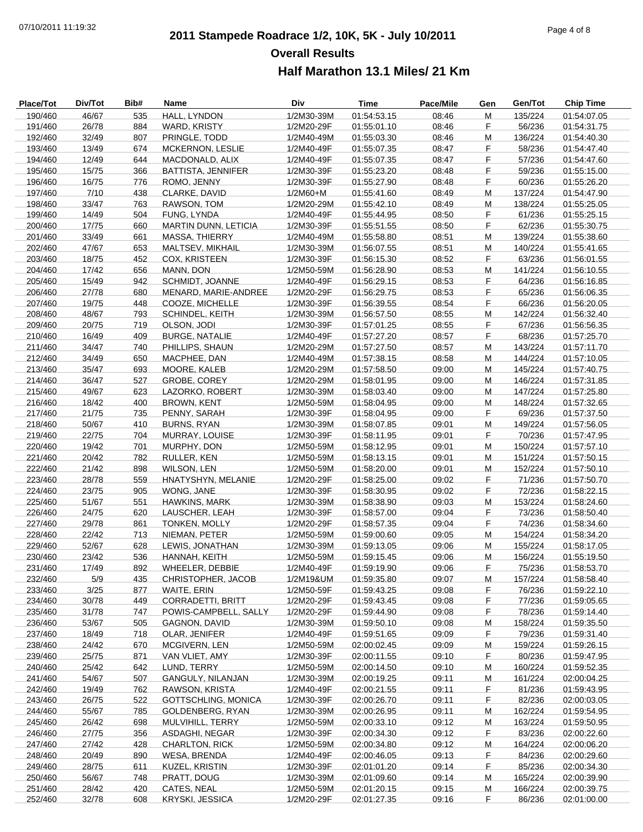# **2011 Stampede Roadrace 1/2, 10K, 5K - July 10/2011** 07/10/2011 11:19:32 Page 4 of 8 **Overall Results Half Marathon 13.1 Miles/ 21 Km**

| Place/Tot | Div/Tot | Bib# | Name                            | Div        | Time        | Pace/Mile | Gen | Gen/Tot | <b>Chip Time</b> |
|-----------|---------|------|---------------------------------|------------|-------------|-----------|-----|---------|------------------|
| 190/460   | 46/67   | 535  | HALL, LYNDON                    | 1/2M30-39M | 01:54:53.15 | 08:46     | M   | 135/224 | 01:54:07.05      |
| 191/460   | 26/78   | 884  | WARD, KRISTY                    | 1/2M20-29F | 01:55:01.10 | 08:46     | F   | 56/236  | 01:54:31.75      |
| 192/460   | 32/49   | 807  | PRINGLE, TODD                   | 1/2M40-49M | 01:55:03.30 | 08:46     | M   | 136/224 | 01:54:40.30      |
| 193/460   | 13/49   | 674  | MCKERNON, LESLIE                | 1/2M40-49F | 01:55:07.35 | 08:47     | F   | 58/236  | 01:54:47.40      |
| 194/460   | 12/49   | 644  | MACDONALD, ALIX                 | 1/2M40-49F | 01:55:07.35 | 08:47     | F   | 57/236  | 01:54:47.60      |
| 195/460   | 15/75   | 366  | <b>BATTISTA, JENNIFER</b>       | 1/2M30-39F | 01:55:23.20 | 08:48     | F   | 59/236  | 01:55:15.00      |
| 196/460   | 16/75   | 776  | ROMO, JENNY                     | 1/2M30-39F | 01:55:27.90 | 08:48     | F   | 60/236  | 01:55:26.20      |
| 197/460   | 7/10    | 438  | CLARKE, DAVID                   | 1/2M60+M   | 01:55:41.60 | 08:49     | М   | 137/224 | 01:54:47.90      |
| 198/460   | 33/47   | 763  | RAWSON, TOM                     | 1/2M20-29M | 01:55:42.10 | 08:49     | M   | 138/224 | 01:55:25.05      |
| 199/460   | 14/49   | 504  | FUNG, LYNDA                     | 1/2M40-49F | 01:55:44.95 | 08:50     | F   | 61/236  | 01:55:25.15      |
| 200/460   | 17/75   | 660  | <b>MARTIN DUNN, LETICIA</b>     | 1/2M30-39F | 01:55:51.55 | 08:50     | F   | 62/236  | 01:55:30.75      |
| 201/460   | 33/49   | 661  | <b>MASSA, THIERRY</b>           | 1/2M40-49M | 01:55:58.80 | 08:51     | М   | 139/224 | 01:55:38.60      |
| 202/460   | 47/67   | 653  | MALTSEV, MIKHAIL                | 1/2M30-39M | 01:56:07.55 | 08:51     | M   | 140/224 | 01:55:41.65      |
| 203/460   | 18/75   | 452  | <b>COX, KRISTEEN</b>            | 1/2M30-39F | 01:56:15.30 | 08:52     | F   | 63/236  | 01:56:01.55      |
| 204/460   | 17/42   | 656  | MANN, DON                       | 1/2M50-59M | 01:56:28.90 | 08:53     | M   | 141/224 | 01:56:10.55      |
| 205/460   | 15/49   | 942  | SCHMIDT, JOANNE                 | 1/2M40-49F | 01:56:29.15 | 08:53     | F   | 64/236  | 01:56:16.85      |
|           |         |      |                                 |            |             |           |     |         |                  |
| 206/460   | 27/78   | 680  | MENARD, MARIE-ANDREE            | 1/2M20-29F | 01:56:29.75 | 08:53     | F   | 65/236  | 01:56:06.35      |
| 207/460   | 19/75   | 448  | COOZE, MICHELLE                 | 1/2M30-39F | 01:56:39.55 | 08:54     | F   | 66/236  | 01:56:20.05      |
| 208/460   | 48/67   | 793  | <b>SCHINDEL, KEITH</b>          | 1/2M30-39M | 01:56:57.50 | 08:55     | M   | 142/224 | 01:56:32.40      |
| 209/460   | 20/75   | 719  | OLSON, JODI                     | 1/2M30-39F | 01:57:01.25 | 08:55     | F   | 67/236  | 01:56:56.35      |
| 210/460   | 16/49   | 409  | <b>BURGE, NATALIE</b>           | 1/2M40-49F | 01:57:27.20 | 08:57     | F   | 68/236  | 01:57:25.70      |
| 211/460   | 34/47   | 740  | PHILLIPS, SHAUN                 | 1/2M20-29M | 01:57:27.50 | 08:57     | M   | 143/224 | 01:57:11.70      |
| 212/460   | 34/49   | 650  | MACPHEE, DAN                    | 1/2M40-49M | 01:57:38.15 | 08:58     | М   | 144/224 | 01:57:10.05      |
| 213/460   | 35/47   | 693  | MOORE, KALEB                    | 1/2M20-29M | 01:57:58.50 | 09:00     | М   | 145/224 | 01:57:40.75      |
| 214/460   | 36/47   | 527  | GROBE, COREY                    | 1/2M20-29M | 01:58:01.95 | 09:00     | M   | 146/224 | 01:57:31.85      |
| 215/460   | 49/67   | 623  | LAZORKO, ROBERT                 | 1/2M30-39M | 01:58:03.40 | 09:00     | M   | 147/224 | 01:57:25.80      |
| 216/460   | 18/42   | 400  | <b>BROWN, KENT</b>              | 1/2M50-59M | 01:58:04.95 | 09:00     | M   | 148/224 | 01:57:32.65      |
| 217/460   | 21/75   | 735  | PENNY, SARAH                    | 1/2M30-39F | 01:58:04.95 | 09:00     | F   | 69/236  | 01:57:37.50      |
| 218/460   | 50/67   | 410  | <b>BURNS, RYAN</b>              | 1/2M30-39M | 01:58:07.85 | 09:01     | М   | 149/224 | 01:57:56.05      |
| 219/460   | 22/75   | 704  | MURRAY, LOUISE                  | 1/2M30-39F | 01:58:11.95 | 09:01     | F   | 70/236  | 01:57:47.95      |
| 220/460   | 19/42   | 701  | MURPHY, DON                     | 1/2M50-59M | 01:58:12.95 | 09:01     | М   | 150/224 | 01:57:57.10      |
| 221/460   | 20/42   | 782  | RULLER, KEN                     | 1/2M50-59M | 01:58:13.15 | 09:01     | М   | 151/224 | 01:57:50.15      |
| 222/460   | 21/42   | 898  | WILSON, LEN                     | 1/2M50-59M | 01:58:20.00 | 09:01     | M   | 152/224 | 01:57:50.10      |
| 223/460   | 28/78   | 559  | HNATYSHYN, MELANIE              | 1/2M20-29F | 01:58:25.00 | 09:02     | F   | 71/236  | 01:57:50.70      |
| 224/460   | 23/75   | 905  | WONG, JANE                      | 1/2M30-39F | 01:58:30.95 | 09:02     | F   | 72/236  | 01:58:22.15      |
| 225/460   | 51/67   | 551  | <b>HAWKINS, MARK</b>            | 1/2M30-39M | 01:58:38.90 | 09:03     | M   | 153/224 | 01:58:24.60      |
| 226/460   | 24/75   | 620  | LAUSCHER, LEAH                  | 1/2M30-39F | 01:58:57.00 | 09:04     | F   | 73/236  | 01:58:50.40      |
| 227/460   | 29/78   | 861  | TONKEN, MOLLY                   | 1/2M20-29F | 01:58:57.35 | 09:04     | F   | 74/236  | 01:58:34.60      |
| 228/460   | 22/42   | 713  | NIEMAN, PETER                   | 1/2M50-59M | 01:59:00.60 | 09:05     | M   | 154/224 | 01:58:34.20      |
| 229/460   | 52/67   | 628  | LEWIS, JONATHAN                 | 1/2M30-39M | 01:59:13.05 | 09:06     | М   | 155/224 | 01:58:17.05      |
| 230/460   | 23/42   | 536  | HANNAH, KEITH                   | 1/2M50-59M | 01:59:15.45 | 09:06     | М   | 156/224 | 01:55:19.50      |
| 231/460   | 17/49   | 892  | WHEELER, DEBBIE                 | 1/2M40-49F | 01:59:19.90 | 09:06     | F   | 75/236  | 01:58:53.70      |
| 232/460   | 5/9     | 435  | CHRISTOPHER, JACOB              | 1/2M19&UM  | 01:59:35.80 | 09:07     | M   | 157/224 | 01:58:58.40      |
| 233/460   | 3/25    | 877  | WAITE, ERIN                     | 1/2M50-59F | 01:59:43.25 | 09:08     | F   | 76/236  | 01:59:22.10      |
| 234/460   | 30/78   | 449  | CORRADETTI, BRITT               | 1/2M20-29F | 01:59:43.45 | 09:08     | F   | 77/236  | 01:59:05.65      |
| 235/460   | 31/78   | 747  | POWIS-CAMPBELL, SALLY           | 1/2M20-29F | 01:59:44.90 | 09:08     | F   | 78/236  | 01:59:14.40      |
| 236/460   | 53/67   | 505  | <b>GAGNON, DAVID</b>            | 1/2M30-39M | 01:59:50.10 | 09:08     | М   | 158/224 | 01:59:35.50      |
| 237/460   | 18/49   | 718  | OLAR, JENIFER                   | 1/2M40-49F | 01:59:51.65 | 09:09     | F   | 79/236  | 01:59:31.40      |
| 238/460   | 24/42   | 670  |                                 |            | 02:00:02.45 | 09:09     |     | 159/224 | 01:59:26.15      |
|           |         |      | MCGIVERN, LEN<br>VAN VLIET. AMY | 1/2M50-59M |             |           | М   |         |                  |
| 239/460   | 25/75   | 871  |                                 | 1/2M30-39F | 02:00:11.55 | 09:10     | F   | 80/236  | 01:59:47.95      |
| 240/460   | 25/42   | 642  | LUND, TERRY                     | 1/2M50-59M | 02:00:14.50 | 09:10     | M   | 160/224 | 01:59:52.35      |
| 241/460   | 54/67   | 507  | <b>GANGULY, NILANJAN</b>        | 1/2M30-39M | 02:00:19.25 | 09:11     | M   | 161/224 | 02:00:04.25      |
| 242/460   | 19/49   | 762  | RAWSON, KRISTA                  | 1/2M40-49F | 02:00:21.55 | 09:11     | F   | 81/236  | 01:59:43.95      |
| 243/460   | 26/75   | 522  | <b>GOTTSCHLING, MONICA</b>      | 1/2M30-39F | 02:00:26.70 | 09:11     | F   | 82/236  | 02:00:03.05      |
| 244/460   | 55/67   | 785  | GOLDENBERG, RYAN                | 1/2M30-39M | 02:00:26.95 | 09:11     | M   | 162/224 | 01:59:54.95      |
| 245/460   | 26/42   | 698  | MULVIHILL, TERRY                | 1/2M50-59M | 02:00:33.10 | 09:12     | M   | 163/224 | 01:59:50.95      |
| 246/460   | 27/75   | 356  | ASDAGHI, NEGAR                  | 1/2M30-39F | 02:00:34.30 | 09:12     | F   | 83/236  | 02:00:22.60      |
| 247/460   | 27/42   | 428  | <b>CHARLTON, RICK</b>           | 1/2M50-59M | 02:00:34.80 | 09:12     | M   | 164/224 | 02:00:06.20      |
| 248/460   | 20/49   | 890  | <b>WESA, BRENDA</b>             | 1/2M40-49F | 02:00:46.05 | 09:13     | F.  | 84/236  | 02:00:29.60      |
| 249/460   | 28/75   | 611  | KUZEL, KRISTIN                  | 1/2M30-39F | 02:01:01.20 | 09:14     | F   | 85/236  | 02:00:34.30      |
| 250/460   | 56/67   | 748  | PRATT, DOUG                     | 1/2M30-39M | 02:01:09.60 | 09:14     | М   | 165/224 | 02:00:39.90      |
| 251/460   | 28/42   | 420  | CATES, NEAL                     | 1/2M50-59M | 02:01:20.15 | 09:15     | M   | 166/224 | 02:00:39.75      |
| 252/460   | 32/78   | 608  | KRYSKI, JESSICA                 | 1/2M20-29F | 02:01:27.35 | 09:16     | F   | 86/236  | 02:01:00.00      |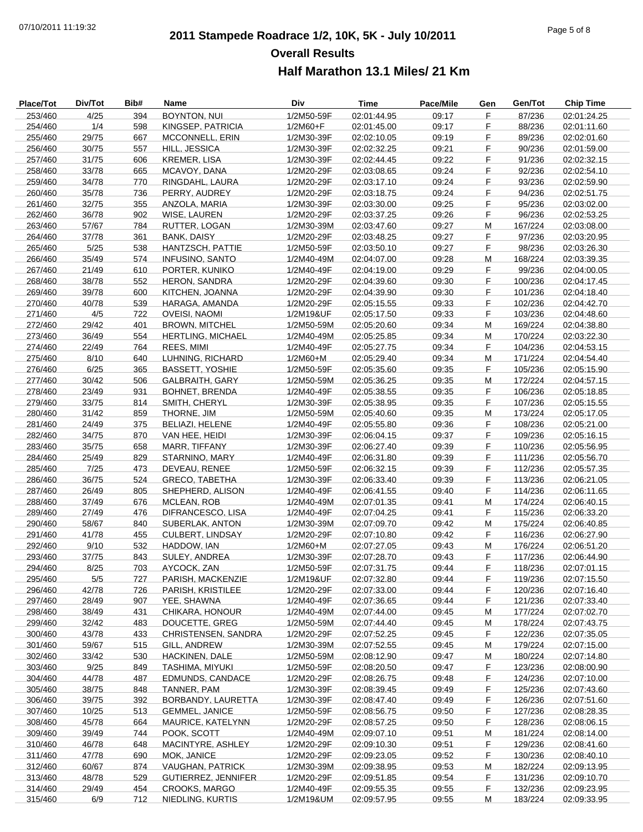# **2011 Stampede Roadrace 1/2, 10K, 5K - July 10/2011** 07/10/2011 11:19:32 Page 5 of 8 **Overall Results Half Marathon 13.1 Miles/ 21 Km**

| Place/Tot          | Div/Tot        | Bib#       | <b>Name</b>             | Div                      | <b>Time</b>                | Pace/Mile | Gen    | Gen/Tot            | <b>Chip Time</b>           |
|--------------------|----------------|------------|-------------------------|--------------------------|----------------------------|-----------|--------|--------------------|----------------------------|
| 253/460            | 4/25           | 394        | <b>BOYNTON, NUI</b>     | 1/2M50-59F               | 02:01:44.95                | 09:17     | F      | 87/236             | 02:01:24.25                |
| 254/460            | 1/4            | 598        | KINGSEP, PATRICIA       | $1/2M60 + F$             | 02:01:45.00                | 09:17     | F      | 88/236             | 02:01:11.60                |
| 255/460            | 29/75          | 667        | <b>MCCONNELL, ERIN</b>  | 1/2M30-39F               | 02:02:10.05                | 09:19     | F      | 89/236             | 02:02:01.60                |
| 256/460            | 30/75          | 557        | HILL, JESSICA           | 1/2M30-39F               | 02:02:32.25                | 09:21     | F      | 90/236             | 02:01:59.00                |
| 257/460            | 31/75          | 606        | <b>KREMER, LISA</b>     | 1/2M30-39F               | 02:02:44.45                | 09:22     | F      | 91/236             | 02:02:32.15                |
| 258/460            | 33/78          | 665        | MCAVOY, DANA            | 1/2M20-29F               | 02:03:08.65                | 09:24     | F      | 92/236             | 02:02:54.10                |
| 259/460            | 34/78          | 770        | RINGDAHL, LAURA         | 1/2M20-29F               | 02:03:17.10                | 09:24     | F      | 93/236             | 02:02:59.90                |
| 260/460            | 35/78          | 736        | PERRY, AUDREY           | 1/2M20-29F               | 02:03:18.75                | 09:24     | F      | 94/236             | 02:02:51.75                |
| 261/460            | 32/75          | 355        | ANZOLA, MARIA           | 1/2M30-39F               | 02:03:30.00                | 09:25     | F      | 95/236             | 02:03:02.00                |
| 262/460            | 36/78          | 902        | WISE, LAUREN            | 1/2M20-29F               | 02:03:37.25                | 09:26     | F      | 96/236             | 02:02:53.25                |
| 263/460            | 57/67          | 784        | RUTTER, LOGAN           | 1/2M30-39M               | 02:03:47.60                | 09:27     | М      | 167/224            | 02:03:08.00                |
| 264/460            | 37/78          | 361        | BANK, DAISY             | 1/2M20-29F               | 02:03:48.25                | 09:27     | F      | 97/236             | 02:03:20.95                |
| 265/460            | 5/25           | 538        | HANTZSCH, PATTIE        | 1/2M50-59F               | 02:03:50.10                | 09:27     | F      | 98/236             | 02:03:26.30                |
| 266/460            | 35/49          | 574        | <b>INFUSINO, SANTO</b>  | 1/2M40-49M               | 02:04:07.00                | 09:28     | M      | 168/224            | 02:03:39.35                |
| 267/460            | 21/49          | 610        | PORTER, KUNIKO          | 1/2M40-49F               | 02:04:19.00                | 09:29     | F      | 99/236             | 02:04:00.05                |
| 268/460            | 38/78          | 552        | HERON, SANDRA           | 1/2M20-29F               | 02:04:39.60                | 09:30     | F      | 100/236            | 02:04:17.45                |
| 269/460            | 39/78          | 600        | KITCHEN, JOANNA         | 1/2M20-29F               | 02:04:39.90                | 09:30     | F      | 101/236            | 02:04:18.40                |
| 270/460            | 40/78          | 539        | HARAGA, AMANDA          | 1/2M20-29F               | 02:05:15.55                | 09:33     | F      | 102/236            | 02:04:42.70                |
| 271/460            | 4/5            | 722        | <b>OVEISI, NAOMI</b>    | 1/2M19&UF                | 02:05:17.50                | 09:33     | F      | 103/236            | 02:04:48.60                |
| 272/460            | 29/42          | 401        | <b>BROWN, MITCHEL</b>   | 1/2M50-59M               | 02:05:20.60                | 09:34     | M      | 169/224            | 02:04:38.80                |
| 273/460            | 36/49          | 554        | HERTLING, MICHAEL       | 1/2M40-49M               | 02:05:25.85                | 09:34     | M      | 170/224            | 02:03:22.30                |
| 274/460            | 22/49          | 764        | REES, MIMI              | 1/2M40-49F               | 02:05:27.75                | 09:34     | F      | 104/236            | 02:04:53.15                |
| 275/460            | 8/10           | 640        | LUHNING, RICHARD        | 1/2M60+M                 | 02:05:29.40                | 09:34     | M      | 171/224            | 02:04:54.40                |
| 276/460            | 6/25           | 365        | <b>BASSETT, YOSHIE</b>  | 1/2M50-59F               | 02:05:35.60                | 09:35     | F      | 105/236            | 02:05:15.90                |
| 277/460            | 30/42          | 506        | <b>GALBRAITH, GARY</b>  | 1/2M50-59M               | 02:05:36.25                | 09:35     | M      | 172/224            | 02:04:57.15                |
| 278/460            | 23/49          | 931        | <b>BOHNET, BRENDA</b>   | 1/2M40-49F               | 02:05:38.55                | 09:35     | F.     | 106/236            | 02:05:18.85                |
| 279/460            | 33/75          | 814        | SMITH, CHERYL           | 1/2M30-39F               | 02:05:38.95                | 09:35     | F      | 107/236            | 02:05:15.55                |
| 280/460            | 31/42          | 859        | THORNE, JIM             | 1/2M50-59M               | 02:05:40.60                | 09:35     | M      | 173/224            | 02:05:17.05                |
| 281/460            | 24/49          | 375        | BELIAZI, HELENE         | 1/2M40-49F               | 02:05:55.80                | 09:36     | F      | 108/236            | 02:05:21.00                |
| 282/460            | 34/75          | 870        | VAN HEE, HEIDI          | 1/2M30-39F               | 02:06:04.15                | 09:37     | F      | 109/236            | 02:05:16.15                |
| 283/460            | 35/75          | 658        | MARR, TIFFANY           | 1/2M30-39F               | 02:06:27.40                | 09:39     | F      | 110/236            | 02:05:56.95                |
| 284/460            | 25/49          | 829        | STARNINO, MARY          | 1/2M40-49F               | 02:06:31.80                | 09:39     | F      | 111/236            | 02:05:56.70                |
| 285/460            | 7/25           | 473        | DEVEAU, RENEE           | 1/2M50-59F               | 02:06:32.15                | 09:39     | F      | 112/236            | 02:05:57.35                |
| 286/460            | 36/75          | 524        | <b>GRECO, TABETHA</b>   | 1/2M30-39F               | 02:06:33.40                | 09:39     | F      | 113/236            | 02:06:21.05                |
| 287/460            | 26/49          | 805        | SHEPHERD, ALISON        | 1/2M40-49F               | 02:06:41.55                | 09:40     | F      | 114/236            | 02:06:11.65                |
| 288/460            | 37/49          | 676        | <b>MCLEAN, ROB</b>      | 1/2M40-49M               | 02:07:01.35                | 09:41     | M      | 174/224            | 02:06:40.15                |
| 289/460            | 27/49          | 476        | DIFRANCESCO, LISA       | 1/2M40-49F               | 02:07:04.25                | 09:41     | F      | 115/236            | 02:06:33.20                |
| 290/460            | 58/67          | 840        | SUBERLAK, ANTON         | 1/2M30-39M               | 02:07:09.70                | 09:42     | M      | 175/224            | 02:06:40.85                |
| 291/460            | 41/78          | 455        | CULBERT, LINDSAY        | 1/2M20-29F               | 02:07:10.80                | 09:42     | F      | 116/236            | 02:06:27.90                |
| 292/460            | 9/10           | 532        | HADDOW, IAN             | $1/2M60+M$               | 02:07:27.05                | 09:43     | М      | 176/224            | 02:06:51.20                |
| 293/460            | 37/75          | 843        | SULEY, ANDREA           | 1/2M30-39F               | 02:07:28.70                | 09:43     | F      | 117/236            | 02:06:44.90                |
| 294/460            | 8/25           | 703        | AYCOCK, ZAN             | 1/2M50-59F               | 02:07:31.75                | 09:44     | F      | 118/236            | 02:07:01.15                |
| 295/460            | 5/5            | 727        | PARISH, MACKENZIE       | 1/2M19&UF                | 02:07:32.80                | 09:44     | F      | 119/236            | 02:07:15.50                |
| 296/460            | 42/78          | 726        | PARISH, KRISTILEE       | 1/2M20-29F               | 02:07:33.00                | 09:44     | F      | 120/236            | 02:07:16.40                |
| 297/460            | 28/49          | 907        | YEE, SHAWNA             | 1/2M40-49F               | 02:07:36.65                | 09:44     | F      | 121/236            | 02:07:33.40                |
| 298/460            | 38/49          | 431        | CHIKARA, HONOUR         | 1/2M40-49M               | 02:07:44.00                | 09:45     | M      | 177/224            | 02:07:02.70                |
| 299/460            | 32/42          | 483        | DOUCETTE, GREG          | 1/2M50-59M               | 02:07:44.40                | 09:45     | M      | 178/224            | 02:07:43.75                |
| 300/460            | 43/78          | 433        | CHRISTENSEN, SANDRA     | 1/2M20-29F               | 02:07:52.25                | 09:45     | F      | 122/236            | 02:07:35.05                |
| 301/460            | 59/67          | 515        | GILL, ANDREW            | 1/2M30-39M               | 02:07:52.55                | 09:45     | M      | 179/224            | 02:07:15.00                |
| 302/460            | 33/42          | 530        | HACKINEN, DALE          | 1/2M50-59M               | 02:08:12.90                | 09:47     | M      | 180/224            | 02:07:14.80                |
| 303/460            | 9/25           | 849        | TASHIMA, MIYUKI         | 1/2M50-59F               | 02:08:20.50                | 09:47     | F      | 123/236            | 02:08:00.90                |
| 304/460            | 44/78          | 487        | <b>EDMUNDS, CANDACE</b> | 1/2M20-29F               | 02:08:26.75                | 09:48     | F      | 124/236            | 02:07:10.00                |
| 305/460            | 38/75          | 848        | TANNER, PAM             | 1/2M30-39F               | 02:08:39.45                | 09:49     | F      | 125/236            | 02:07:43.60                |
| 306/460            | 39/75          | 392        | BORBANDY, LAURETTA      | 1/2M30-39F               |                            | 09:49     | F      | 126/236            |                            |
| 307/460            | 10/25          | 513        | <b>GEMMEL, JANICE</b>   | 1/2M50-59F               | 02:08:47.40<br>02:08:56.75 | 09:50     | F      | 127/236            | 02:07:51.60<br>02:08:28.35 |
| 308/460            | 45/78          | 664        | MAURICE, KATELYNN       | 1/2M20-29F               | 02:08:57.25                | 09:50     | F      | 128/236            | 02:08:06.15                |
| 309/460            | 39/49          | 744        | POOK, SCOTT             |                          |                            | 09:51     |        | 181/224            |                            |
|                    | 46/78          | 648        | MACINTYRE, ASHLEY       | 1/2M40-49M               | 02:09:07.10                | 09:51     | M<br>F |                    | 02:08:14.00                |
| 310/460<br>311/460 | 47/78          | 690        | MOK, JANICE             | 1/2M20-29F<br>1/2M20-29F | 02:09:10.30<br>02:09:23.05 | 09:52     | F      | 129/236<br>130/236 | 02:08:41.60<br>02:08:40.10 |
|                    |                |            | <b>VAUGHAN, PATRICK</b> |                          |                            | 09:53     |        |                    |                            |
| 312/460<br>313/460 | 60/67<br>48/78 | 874<br>529 | GUTIERREZ, JENNIFER     | 1/2M30-39M<br>1/2M20-29F | 02:09:38.95                | 09:54     | M<br>F | 182/224<br>131/236 | 02:09:13.95                |
| 314/460            | 29/49          | 454        | <b>CROOKS, MARGO</b>    | 1/2M40-49F               | 02:09:51.85                | 09:55     | F      |                    | 02:09:10.70                |
|                    |                |            |                         |                          | 02:09:55.35                |           |        | 132/236            | 02:09:23.95                |
| 315/460            | 6/9            | 712        | NIEDLING, KURTIS        | 1/2M19&UM                | 02:09:57.95                | 09:55     | M      | 183/224            | 02:09:33.95                |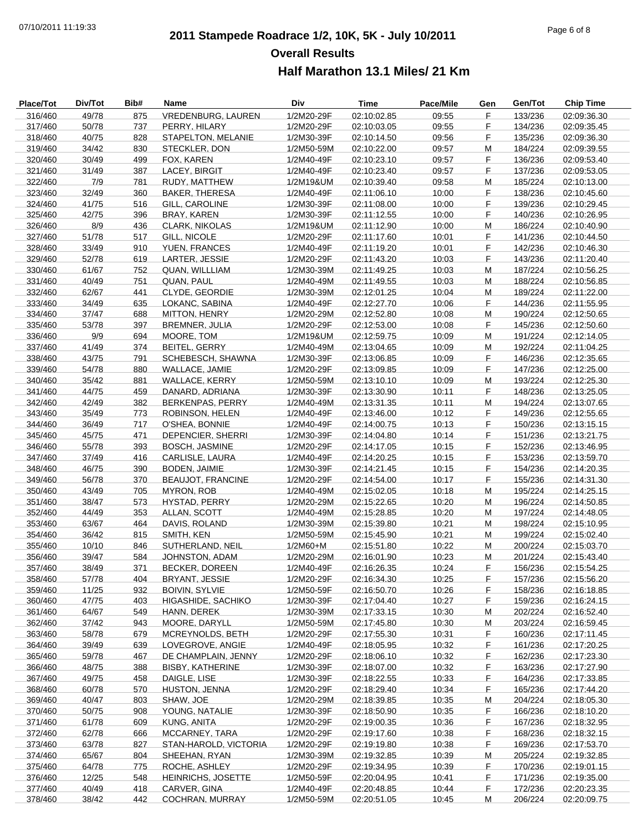# **2011 Stampede Roadrace 1/2, 10K, 5K - July 10/2011** 07/10/2011 11:19:33 Page 6 of 8 **Overall Results Half Marathon 13.1 Miles/ 21 Km**

| Place/Tot          | Div/Tot        | Bib#       | Name                                    | Div                      | Time                       | Pace/Mile      | Gen     | Gen/Tot            | <b>Chip Time</b>           |
|--------------------|----------------|------------|-----------------------------------------|--------------------------|----------------------------|----------------|---------|--------------------|----------------------------|
| 316/460            | 49/78          | 875        | VREDENBURG, LAUREN                      | 1/2M20-29F               | 02:10:02.85                | 09:55          | F       | 133/236            | 02:09:36.30                |
| 317/460            | 50/78          | 737        | PERRY, HILARY                           | 1/2M20-29F               | 02:10:03.05                | 09:55          | F       | 134/236            | 02:09:35.45                |
| 318/460            | 40/75          | 828        | STAPELTON, MELANIE                      | 1/2M30-39F               | 02:10:14.50                | 09:56          | F       | 135/236            | 02:09:36.30                |
| 319/460            | 34/42          | 830        | STECKLER, DON                           | 1/2M50-59M               | 02:10:22.00                | 09:57          | М       | 184/224            | 02:09:39.55                |
| 320/460            | 30/49          | 499        | FOX, KAREN                              | 1/2M40-49F               | 02:10:23.10                | 09:57          | F       | 136/236            | 02:09:53.40                |
| 321/460            | 31/49          | 387        | LACEY, BIRGIT                           | 1/2M40-49F               | 02:10:23.40                | 09:57          | F       | 137/236            | 02:09:53.05                |
| 322/460            | 7/9            | 781        | RUDY, MATTHEW                           | 1/2M19&UM                | 02:10:39.40                | 09:58          | M       | 185/224            | 02:10:13.00                |
| 323/460            | 32/49          | 360        | <b>BAKER, THERESA</b>                   | 1/2M40-49F               | 02:11:06.10                | 10:00          | F       | 138/236            | 02:10:45.60                |
| 324/460            | 41/75          | 516        | GILL, CAROLINE                          | 1/2M30-39F               | 02:11:08.00                | 10:00          | F       | 139/236            | 02:10:29.45                |
| 325/460            | 42/75          | 396        | BRAY, KAREN                             | 1/2M30-39F               | 02:11:12.55                | 10:00          | F       | 140/236            | 02:10:26.95                |
| 326/460            | 8/9            | 436        | <b>CLARK, NIKOLAS</b>                   | 1/2M19&UM                | 02:11:12.90                | 10:00          | M       | 186/224            | 02:10:40.90                |
| 327/460            | 51/78          | 517        | GILL, NICOLE                            | 1/2M20-29F               | 02:11:17.60                | 10:01          | F       | 141/236            | 02:10:44.50                |
| 328/460            | 33/49          | 910        | YUEN, FRANCES                           | 1/2M40-49F               | 02:11:19.20                | 10:01          | F       | 142/236            | 02:10:46.30                |
| 329/460            | 52/78          | 619        | LARTER, JESSIE                          | 1/2M20-29F               | 02:11:43.20                | 10:03          | F       | 143/236            | 02:11:20.40                |
| 330/460            | 61/67          | 752        | QUAN, WILLLIAM                          | 1/2M30-39M               | 02:11:49.25                | 10:03          | M       | 187/224            | 02:10:56.25                |
| 331/460            | 40/49          | 751        | QUAN, PAUL                              | 1/2M40-49M               | 02:11:49.55                | 10:03          | М       | 188/224            | 02:10:56.85                |
| 332/460            | 62/67          | 441        | CLYDE, GEORDIE                          | 1/2M30-39M               | 02:12:01.25                | 10:04          | M       | 189/224            | 02:11:22.00                |
| 333/460            | 34/49          | 635        | LOKANC, SABINA                          | 1/2M40-49F               | 02:12:27.70                | 10:06          | F       | 144/236            | 02:11:55.95                |
| 334/460            | 37/47          | 688        | MITTON, HENRY                           | 1/2M20-29M               | 02:12:52.80                | 10:08          | M       | 190/224            | 02:12:50.65                |
| 335/460            | 53/78          | 397        | <b>BREMNER, JULIA</b>                   | 1/2M20-29F               | 02:12:53.00                | 10:08          | F       | 145/236            | 02:12:50.60                |
| 336/460            | 9/9            | 694        | MOORE, TOM                              | 1/2M19&UM                | 02:12:59.75                | 10:09          | M       | 191/224            | 02:12:14.05                |
| 337/460            | 41/49          | 374        | BEITEL, GERRY                           | 1/2M40-49M               | 02:13:04.65                | 10:09          | М       | 192/224            | 02:11:04.25                |
| 338/460            | 43/75          | 791        | SCHEBESCH, SHAWNA                       | 1/2M30-39F               | 02:13:06.85                | 10:09          | F.      | 146/236            | 02:12:35.65                |
| 339/460            | 54/78          | 880        | WALLACE, JAMIE                          | 1/2M20-29F               | 02:13:09.85                | 10:09          | F       | 147/236            | 02:12:25.00                |
| 340/460            | 35/42          | 881        | WALLACE, KERRY                          | 1/2M50-59M               | 02:13:10.10                | 10:09          | М       | 193/224            | 02:12:25.30                |
| 341/460            | 44/75          | 459        | DANARD, ADRIANA                         | 1/2M30-39F               | 02:13:30.90                | 10:11          | F       | 148/236            | 02:13:25.05                |
| 342/460            | 42/49          | 382        | BERKENPAS, PERRY                        | 1/2M40-49M               | 02:13:31.35                | 10:11          | M       | 194/224            | 02:13:07.65                |
| 343/460            | 35/49          | 773        | ROBINSON, HELEN                         | 1/2M40-49F               | 02:13:46.00                | 10:12          | F       | 149/236            | 02:12:55.65                |
| 344/460            | 36/49          | 717        | O'SHEA, BONNIE                          | 1/2M40-49F               | 02:14:00.75                | 10:13          | F       | 150/236            | 02:13:15.15                |
| 345/460            | 45/75          | 471        | DEPENCIER, SHERRI                       | 1/2M30-39F               | 02:14:04.80                | 10:14          | F       | 151/236            | 02:13:21.75                |
| 346/460            | 55/78          | 393        | <b>BOSCH, JASMINE</b>                   | 1/2M20-29F               | 02:14:17.05                | 10:15          | F.      | 152/236            | 02:13:46.95                |
| 347/460            | 37/49          | 416        | CARLISLE, LAURA                         | 1/2M40-49F               | 02:14:20.25                | 10:15          | F       | 153/236            | 02:13:59.70                |
| 348/460            | 46/75          | 390        | BODEN, JAIMIE                           | 1/2M30-39F               | 02:14:21.45                | 10:15          | F       | 154/236            | 02:14:20.35                |
| 349/460            | 56/78          | 370        | <b>BEAUJOT, FRANCINE</b>                | 1/2M20-29F               | 02:14:54.00                | 10:17          | F       | 155/236            | 02:14:31.30                |
| 350/460            | 43/49          | 705        | <b>MYRON, ROB</b>                       | 1/2M40-49M               | 02:15:02.05                | 10:18          | M       | 195/224            | 02:14:25.15                |
| 351/460            | 38/47          | 573        | HYSTAD, PERRY                           | 1/2M20-29M               | 02:15:22.65                | 10:20          | М       | 196/224            | 02:14:50.85                |
| 352/460            | 44/49          | 353        | ALLAN, SCOTT                            | 1/2M40-49M               | 02:15:28.85                | 10:20          | M       | 197/224            | 02:14:48.05                |
| 353/460            | 63/67          | 464        | DAVIS, ROLAND                           | 1/2M30-39M               | 02:15:39.80                | 10:21          | M       | 198/224            | 02:15:10.95                |
| 354/460            | 36/42          | 815        | SMITH, KEN                              | 1/2M50-59M               | 02:15:45.90                | 10:21          | M       | 199/224            | 02:15:02.40                |
| 355/460            | 10/10          | 846        | SUTHERLAND, NEIL                        | 1/2M60+M                 | 02:15:51.80                | 10:22          | М       | 200/224            | 02:15:03.70                |
| 356/460            | 39/47          | 584<br>371 | JOHNSTON, ADAM<br><b>BECKER, DOREEN</b> | 1/2M20-29M               | 02:16:01.90<br>02:16:26.35 | 10:23<br>10:24 | M<br>F  | 201/224<br>156/236 | 02:15:43.40                |
| 357/460            | 38/49          |            |                                         | 1/2M40-49F               |                            |                |         |                    | 02:15:54.25                |
| 358/460            | 57/78          | 404        | BRYANT, JESSIE                          | 1/2M20-29F               | 02:16:34.30                | 10:25          | F.      | 157/236            | 02:15:56.20                |
| 359/460<br>360/460 | 11/25<br>47/75 | 932        | <b>BOIVIN, SYLVIE</b>                   | 1/2M50-59F               | 02:16:50.70                | 10:26<br>10:27 | F.<br>F | 158/236<br>159/236 | 02:16:18.85                |
| 361/460            | 64/67          | 403<br>549 | HIGASHIDE, SACHIKO<br>HANN, DEREK       | 1/2M30-39F<br>1/2M30-39M | 02:17:04.40<br>02:17:33.15 | 10:30          |         | 202/224            | 02:16:24.15<br>02:16:52.40 |
| 362/460            | 37/42          | 943        | MOORE, DARYLL                           | 1/2M50-59M               |                            | 10:30          | М       | 203/224            |                            |
| 363/460            | 58/78          | 679        | MCREYNOLDS, BETH                        | 1/2M20-29F               | 02:17:45.80<br>02:17:55.30 | 10:31          | M<br>F  | 160/236            | 02:16:59.45<br>02:17:11.45 |
| 364/460            |                | 639        | LOVEGROVE, ANGIE                        |                          |                            | 10:32          | F       | 161/236            |                            |
| 365/460            | 39/49<br>59/78 | 467        | DE CHAMPLAIN, JENNY                     | 1/2M40-49F<br>1/2M20-29F | 02:18:05.95<br>02:18:06.10 | 10:32          | F       | 162/236            | 02:17:20.25<br>02:17:23.30 |
| 366/460            | 48/75          | 388        | <b>BISBY, KATHERINE</b>                 | 1/2M30-39F               | 02:18:07.00                | 10:32          | F.      | 163/236            | 02:17:27.90                |
| 367/460            | 49/75          | 458        | DAIGLE, LISE                            | 1/2M30-39F               | 02:18:22.55                | 10:33          | F       | 164/236            | 02:17:33.85                |
| 368/460            | 60/78          | 570        | <b>HUSTON, JENNA</b>                    | 1/2M20-29F               | 02:18:29.40                | 10:34          | F       | 165/236            | 02:17:44.20                |
| 369/460            | 40/47          | 803        | SHAW, JOE                               | 1/2M20-29M               | 02:18:39.85                | 10:35          | М       | 204/224            | 02:18:05.30                |
| 370/460            | 50/75          | 908        | YOUNG, NATALIE                          | 1/2M30-39F               | 02:18:50.90                | 10:35          | F       | 166/236            | 02:18:10.20                |
| 371/460            | 61/78          | 609        | KUNG, ANITA                             | 1/2M20-29F               | 02:19:00.35                | 10:36          | F       | 167/236            | 02:18:32.95                |
| 372/460            | 62/78          | 666        | MCCARNEY, TARA                          | 1/2M20-29F               | 02:19:17.60                | 10:38          | F       | 168/236            | 02:18:32.15                |
| 373/460            | 63/78          | 827        | STAN-HAROLD, VICTORIA                   | 1/2M20-29F               | 02:19:19.80                | 10:38          | F       | 169/236            | 02:17:53.70                |
| 374/460            | 65/67          | 804        | SHEEHAN, RYAN                           | 1/2M30-39M               | 02:19:32.85                | 10:39          | M       | 205/224            | 02:19:32.85                |
| 375/460            | 64/78          | 775        | ROCHE, ASHLEY                           | 1/2M20-29F               | 02:19:34.95                | 10:39          | F       | 170/236            | 02:19:01.15                |
| 376/460            | 12/25          | 548        | HEINRICHS, JOSETTE                      | 1/2M50-59F               | 02:20:04.95                | 10:41          | F       | 171/236            | 02:19:35.00                |
| 377/460            | 40/49          | 418        | CARVER, GINA                            | 1/2M40-49F               | 02:20:48.85                | 10:44          | F       | 172/236            | 02:20:23.35                |
| 378/460            | 38/42          | 442        | COCHRAN, MURRAY                         | 1/2M50-59M               | 02:20:51.05                | 10:45          | M       | 206/224            | 02:20:09.75                |
|                    |                |            |                                         |                          |                            |                |         |                    |                            |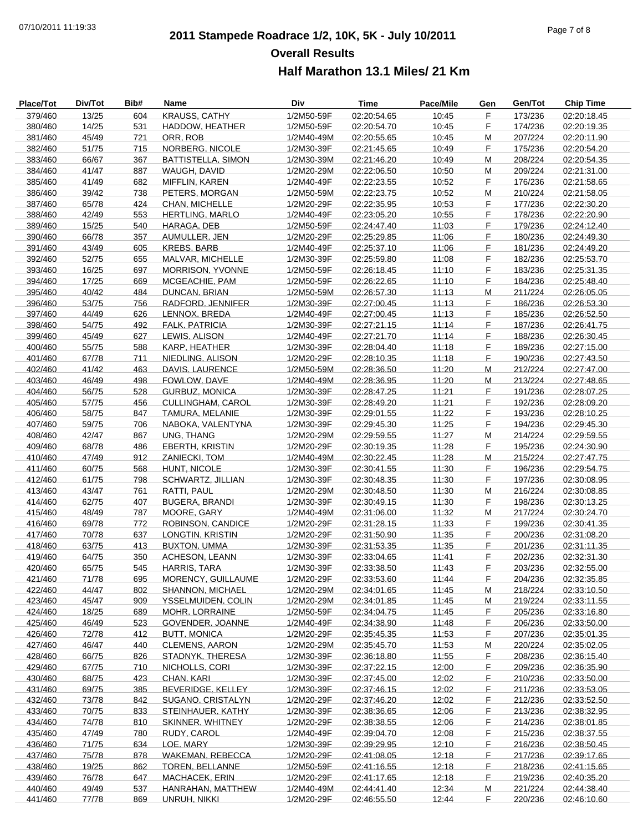# **2011 Stampede Roadrace 1/2, 10K, 5K - July 10/2011** 07/10/2011 11:19:33 Page 7 of 8 **Overall Results Half Marathon 13.1 Miles/ 21 Km**

| Place/Tot          | Div/Tot        | Bib#       | Name                              | Div                      | <b>Time</b>                | Pace/Mile      | Gen    | Gen/Tot            | <b>Chip Time</b>           |
|--------------------|----------------|------------|-----------------------------------|--------------------------|----------------------------|----------------|--------|--------------------|----------------------------|
| 379/460            | 13/25          | 604        | <b>KRAUSS, CATHY</b>              | 1/2M50-59F               | 02:20:54.65                | 10:45          | F      | 173/236            | 02:20:18.45                |
| 380/460            | 14/25          | 531        | HADDOW, HEATHER                   | 1/2M50-59F               | 02:20:54.70                | 10:45          | F      | 174/236            | 02:20:19.35                |
| 381/460            | 45/49          | 721        | ORR, ROB                          | 1/2M40-49M               | 02:20:55.65                | 10:45          | M      | 207/224            | 02:20:11.90                |
| 382/460            | 51/75          | 715        | NORBERG, NICOLE                   | 1/2M30-39F               | 02:21:45.65                | 10:49          | F      | 175/236            | 02:20:54.20                |
| 383/460            | 66/67          | 367        | <b>BATTISTELLA, SIMON</b>         | 1/2M30-39M               | 02:21:46.20                | 10:49          | M      | 208/224            | 02:20:54.35                |
| 384/460            | 41/47          | 887        | WAUGH, DAVID                      | 1/2M20-29M               | 02:22:06.50                | 10:50          | M      | 209/224            | 02:21:31.00                |
| 385/460            | 41/49          | 682        | <b>MIFFLIN, KAREN</b>             | 1/2M40-49F               | 02:22:23.55                | 10:52          | F      | 176/236            | 02:21:58.65                |
| 386/460            | 39/42          | 738        | PETERS, MORGAN                    | 1/2M50-59M               | 02:22:23.75                | 10:52          | M      | 210/224            | 02:21:58.05                |
| 387/460            | 65/78          | 424        | CHAN, MICHELLE                    | 1/2M20-29F               | 02:22:35.95                | 10:53          | F      | 177/236            | 02:22:30.20                |
| 388/460            | 42/49          | 553        | <b>HERTLING, MARLO</b>            | 1/2M40-49F               | 02:23:05.20                | 10:55          | F      | 178/236            | 02:22:20.90                |
| 389/460            | 15/25          | 540        | HARAGA, DEB                       | 1/2M50-59F               | 02:24:47.40                | 11:03          | F      | 179/236            | 02:24:12.40                |
| 390/460            | 66/78          | 357        | AUMULLER, JEN                     | 1/2M20-29F               | 02:25:29.85                | 11:06          | F      | 180/236            | 02:24:49.30                |
| 391/460            | 43/49          | 605        | <b>KREBS, BARB</b>                | 1/2M40-49F               | 02:25:37.10                | 11:06          | F      | 181/236            | 02:24:49.20                |
| 392/460            | 52/75          | 655        | MALVAR, MICHELLE                  | 1/2M30-39F               | 02:25:59.80                | 11:08          | F      | 182/236            | 02:25:53.70                |
| 393/460            | 16/25          | 697        | MORRISON, YVONNE                  | 1/2M50-59F               | 02:26:18.45                | 11:10          | F      | 183/236            | 02:25:31.35                |
| 394/460            | 17/25          | 669        | MCGEACHIE, PAM                    | 1/2M50-59F               | 02:26:22.65                | 11:10          | F      | 184/236            | 02:25:48.40                |
| 395/460            | 40/42          | 484        | DUNCAN, BRIAN                     | 1/2M50-59M               | 02:26:57.30                | 11:13          | M      | 211/224            | 02:26:05.05                |
| 396/460            | 53/75          | 756        | RADFORD, JENNIFER                 | 1/2M30-39F               | 02:27:00.45                | 11:13          | F      | 186/236            | 02:26:53.30                |
| 397/460            | 44/49          | 626        | LENNOX, BREDA                     | 1/2M40-49F               | 02:27:00.45                | 11:13          | F      | 185/236            | 02:26:52.50                |
| 398/460            | 54/75          | 492        | <b>FALK, PATRICIA</b>             | 1/2M30-39F               | 02:27:21.15                | 11:14          | F      | 187/236            | 02:26:41.75                |
| 399/460            | 45/49          | 627        | LEWIS, ALISON                     | 1/2M40-49F               | 02:27:21.70                | 11:14          | F      | 188/236            | 02:26:30.45                |
| 400/460            | 55/75          | 588        | KARP, HEATHER                     | 1/2M30-39F               | 02:28:04.40                | 11:18          | F      | 189/236            | 02:27:15.00                |
| 401/460            | 67/78          | 711        | NIEDLING, ALISON                  | 1/2M20-29F               | 02:28:10.35                | 11:18          | F      | 190/236            | 02:27:43.50                |
| 402/460            | 41/42          | 463        | DAVIS, LAURENCE                   | 1/2M50-59M               | 02:28:36.50                | 11:20          | M      | 212/224            | 02:27:47.00                |
| 403/460            | 46/49          | 498        | FOWLOW, DAVE                      | 1/2M40-49M               | 02:28:36.95                | 11:20          | M      | 213/224            | 02:27:48.65                |
| 404/460            | 56/75          | 528        | <b>GURBUZ, MONICA</b>             | 1/2M30-39F               | 02:28:47.25                | 11:21          | F      | 191/236            | 02:28:07.25                |
| 405/460            | 57/75          | 456        | <b>CULLINGHAM, CAROL</b>          | 1/2M30-39F               | 02:28:49.20                | 11:21          | F      | 192/236            | 02:28:09.20                |
| 406/460            | 58/75          | 847        | TAMURA, MELANIE                   | 1/2M30-39F               | 02:29:01.55                | 11:22          | F      | 193/236            | 02:28:10.25                |
| 407/460            | 59/75          | 706        | NABOKA, VALENTYNA                 | 1/2M30-39F               | 02:29:45.30                | 11:25          | F      | 194/236            | 02:29:45.30                |
| 408/460            | 42/47          | 867        | UNG, THANG                        | 1/2M20-29M               | 02:29:59.55                | 11:27          | M      | 214/224            | 02:29:59.55                |
| 409/460            | 68/78          | 486        | <b>EBERTH, KRISTIN</b>            | 1/2M20-29F               | 02:30:19.35                | 11:28          | F      | 195/236            | 02:24:30.90                |
| 410/460            | 47/49          | 912        | ZANIECKI, TOM                     | 1/2M40-49M               | 02:30:22.45                | 11:28          | M      | 215/224            | 02:27:47.75                |
| 411/460            | 60/75          | 568        | HUNT, NICOLE                      | 1/2M30-39F               | 02:30:41.55                | 11:30          | F      | 196/236            | 02:29:54.75                |
| 412/460            | 61/75          | 798        | <b>SCHWARTZ, JILLIAN</b>          | 1/2M30-39F               | 02:30:48.35                | 11:30          | F      | 197/236            | 02:30:08.95                |
| 413/460            | 43/47          | 761        | RATTI, PAUL                       | 1/2M20-29M               | 02:30:48.50                | 11:30          | M      | 216/224            | 02:30:08.85                |
| 414/460            | 62/75          | 407        | <b>BUGERA, BRANDI</b>             | 1/2M30-39F               | 02:30:49.15                | 11:30          | F      | 198/236            | 02:30:13.25                |
| 415/460            | 48/49          | 787        | MOORE, GARY                       | 1/2M40-49M               | 02:31:06.00                | 11:32          | M      | 217/224            | 02:30:24.70                |
| 416/460            | 69/78          | 772        | ROBINSON, CANDICE                 | 1/2M20-29F               | 02:31:28.15                | 11:33          | F      | 199/236            | 02:30:41.35                |
| 417/460            | 70/78          | 637        | LONGTIN, KRISTIN                  | 1/2M20-29F               | 02:31:50.90                | 11:35          | F      | 200/236            | 02:31:08.20                |
| 418/460            | 63/75          | 413        | <b>BUXTON, UMMA</b>               | 1/2M30-39F               | 02:31:53.35                | 11:35          | F      | 201/236            | 02:31:11.35                |
| 419/460            | 64/75          | 350        | <b>ACHESON, LEANN</b>             | 1/2M30-39F               | 02:33:04.65                | 11:41          | F      | 202/236            | 02:32:31.30                |
| 420/460            | 65/75          | 545        | HARRIS, TARA                      | 1/2M30-39F               | 02:33:38.50                | 11:43          | F      | 203/236            | 02:32:55.00                |
| 421/460            | 71/78          | 695        | MORENCY, GUILLAUME                | 1/2M20-29F               | 02:33:53.60                | 11:44          | F.     | 204/236            | 02:32:35.85                |
| 422/460            | 44/47          | 802        | SHANNON, MICHAEL                  | 1/2M20-29M               | 02:34:01.65                | 11:45          | M      | 218/224            | 02:33:10.50                |
| 423/460            | 45/47          | 909        | YSSELMUIDEN, COLIN                | 1/2M20-29M               | 02:34:01.85                | 11:45          | M      | 219/224            | 02:33:11.55                |
| 424/460            | 18/25          | 689        | MOHR, LORRAINE                    | 1/2M50-59F               | 02:34:04.75                | 11:45          | F      | 205/236            | 02:33:16.80                |
| 425/460            | 46/49          | 523        | GOVENDER, JOANNE                  | 1/2M40-49F               | 02:34:38.90                | 11:48          | F      | 206/236            | 02:33:50.00                |
| 426/460            | 72/78          | 412        | <b>BUTT, MONICA</b>               | 1/2M20-29F               | 02:35:45.35                | 11:53          | F      | 207/236            | 02:35:01.35                |
| 427/460            | 46/47          | 440        | <b>CLEMENS, AARON</b>             | 1/2M20-29M               | 02:35:45.70                | 11:53          | M      | 220/224            | 02:35:02.05                |
| 428/460            | 66/75          | 826        | STADNYK, THERESA                  | 1/2M30-39F               | 02:36:18.80                | 11:55          | F      | 208/236            | 02:36:15.40                |
| 429/460            | 67/75          | 710        | NICHOLLS, CORI                    | 1/2M30-39F               | 02:37:22.15                | 12:00          | F      | 209/236            | 02:36:35.90                |
| 430/460            | 68/75          | 423        | CHAN, KARI                        | 1/2M30-39F               | 02:37:45.00                | 12:02          | F      | 210/236            | 02:33:50.00                |
| 431/460            | 69/75          | 385        | BEVERIDGE, KELLEY                 | 1/2M30-39F               | 02:37:46.15                | 12:02          | F      | 211/236            | 02:33:53.05                |
| 432/460            | 73/78          | 842        | SUGANO, CRISTALYN                 | 1/2M20-29F               | 02:37:46.20                | 12:02          | F      | 212/236            | 02:33:52.50                |
| 433/460            | 70/75          | 833        | STEINHAUER, KATHY                 | 1/2M30-39F               | 02:38:36.65                | 12:06          | F.     | 213/236            | 02:38:32.95                |
| 434/460            | 74/78          | 810        | SKINNER, WHITNEY                  | 1/2M20-29F               | 02:38:38.55                | 12:06          | F      | 214/236            | 02:38:01.85                |
| 435/460            | 47/49          | 780        | RUDY, CAROL                       | 1/2M40-49F               | 02:39:04.70                | 12:08          | F      | 215/236            | 02:38:37.55                |
| 436/460<br>437/460 | 71/75<br>75/78 | 634<br>878 | LOE, MARY<br>WAKEMAN, REBECCA     | 1/2M30-39F<br>1/2M20-29F | 02:39:29.95<br>02:41:08.05 | 12:10          | F<br>F | 216/236<br>217/236 | 02:38:50.45                |
| 438/460            | 19/25          |            |                                   | 1/2M50-59F               |                            | 12:18<br>12:18 | F      |                    | 02:39:17.65                |
| 439/460            | 76/78          | 862<br>647 | TOREN, BELLANNE<br>MACHACEK, ERIN | 1/2M20-29F               | 02:41:16.55<br>02:41:17.65 | 12:18          | F      | 218/236<br>219/236 | 02:41:15.65<br>02:40:35.20 |
| 440/460            | 49/49          | 537        | HANRAHAN, MATTHEW                 | 1/2M40-49M               | 02:44:41.40                | 12:34          | M      | 221/224            | 02:44:38.40                |
| 441/460            | 77/78          | 869        | UNRUH, NIKKI                      | 1/2M20-29F               | 02:46:55.50                | 12:44          | F      | 220/236            | 02:46:10.60                |
|                    |                |            |                                   |                          |                            |                |        |                    |                            |